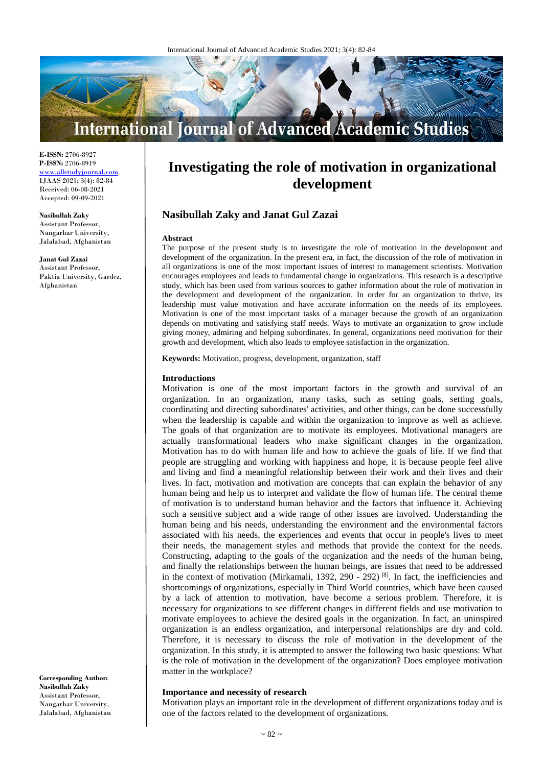

**E-ISSN:** 2706-8927 **P-ISSN:** 2706-8919 <www.allstudyjournal.com> IJAAS 2021; 3(4): 82-84 Received: 06-08-2021 Accepted: 09-09-2021

**Nasibullah Zaky** Assistant Professor, Nangarhar University,

Jalalabad, Afghanistan **Janat Gul Zazai**

Assistant Professor, Paktia University, Gardez, Afghanistan

**Corresponding Author: Nasibullah Zaky** Assistant Professor, Nangarhar University, Jalalabad, Afghanistan

# **Investigating the role of motivation in organizational development**

# **Nasibullah Zaky and Janat Gul Zazai**

#### **Abstract**

The purpose of the present study is to investigate the role of motivation in the development and development of the organization. In the present era, in fact, the discussion of the role of motivation in all organizations is one of the most important issues of interest to management scientists. Motivation encourages employees and leads to fundamental change in organizations. This research is a descriptive study, which has been used from various sources to gather information about the role of motivation in the development and development of the organization. In order for an organization to thrive, its leadership must value motivation and have accurate information on the needs of its employees. Motivation is one of the most important tasks of a manager because the growth of an organization depends on motivating and satisfying staff needs. Ways to motivate an organization to grow include giving money, admiring and helping subordinates. In general, organizations need motivation for their growth and development, which also leads to employee satisfaction in the organization.

**Keywords:** Motivation, progress, development, organization, staff

#### **Introductions**

Motivation is one of the most important factors in the growth and survival of an organization. In an organization, many tasks, such as setting goals, setting goals, coordinating and directing subordinates' activities, and other things, can be done successfully when the leadership is capable and within the organization to improve as well as achieve. The goals of that organization are to motivate its employees. Motivational managers are actually transformational leaders who make significant changes in the organization. Motivation has to do with human life and how to achieve the goals of life. If we find that people are struggling and working with happiness and hope, it is because people feel alive and living and find a meaningful relationship between their work and their lives and their lives. In fact, motivation and motivation are concepts that can explain the behavior of any human being and help us to interpret and validate the flow of human life. The central theme of motivation is to understand human behavior and the factors that influence it. Achieving such a sensitive subject and a wide range of other issues are involved. Understanding the human being and his needs, understanding the environment and the environmental factors associated with his needs, the experiences and events that occur in people's lives to meet their needs, the management styles and methods that provide the context for the needs. Constructing, adapting to the goals of the organization and the needs of the human being, and finally the relationships between the human beings, are issues that need to be addressed in the context of motivation (Mirkamali, 1392, 290 - 292)<sup>[8]</sup>. In fact, the inefficiencies and shortcomings of organizations, especially in Third World countries, which have been caused by a lack of attention to motivation, have become a serious problem. Therefore, it is necessary for organizations to see different changes in different fields and use motivation to motivate employees to achieve the desired goals in the organization. In fact, an uninspired organization is an endless organization, and interpersonal relationships are dry and cold. Therefore, it is necessary to discuss the role of motivation in the development of the organization. In this study, it is attempted to answer the following two basic questions: What is the role of motivation in the development of the organization? Does employee motivation matter in the workplace?

### **Importance and necessity of research**

Motivation plays an important role in the development of different organizations today and is one of the factors related to the development of organizations.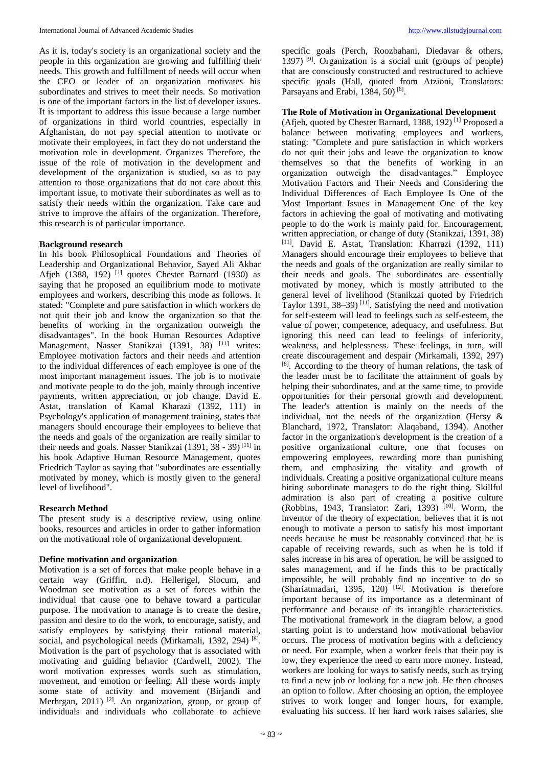As it is, today's society is an organizational society and the people in this organization are growing and fulfilling their needs. This growth and fulfillment of needs will occur when the CEO or leader of an organization motivates his subordinates and strives to meet their needs. So motivation is one of the important factors in the list of developer issues. It is important to address this issue because a large number of organizations in third world countries, especially in Afghanistan, do not pay special attention to motivate or motivate their employees, in fact they do not understand the motivation role in development. Organizes Therefore, the issue of the role of motivation in the development and development of the organization is studied, so as to pay attention to those organizations that do not care about this important issue, to motivate their subordinates as well as to satisfy their needs within the organization. Take care and strive to improve the affairs of the organization. Therefore, this research is of particular importance.

# **Background research**

In his book Philosophical Foundations and Theories of Leadership and Organizational Behavior, Sayed Ali Akbar Afjeh  $(1388, 192)$ <sup>[1]</sup> quotes Chester Barnard (1930) as saying that he proposed an equilibrium mode to motivate employees and workers, describing this mode as follows. It stated: "Complete and pure satisfaction in which workers do not quit their job and know the organization so that the benefits of working in the organization outweigh the disadvantages". In the book Human Resources Adaptive Management, Nasser Stanikzai (1391, 38) <sup>[11]</sup> writes: Employee motivation factors and their needs and attention to the individual differences of each employee is one of the most important management issues. The job is to motivate and motivate people to do the job, mainly through incentive payments, written appreciation, or job change. David E. Astat, translation of Kamal Kharazi (1392, 111) in Psychology's application of management training, states that managers should encourage their employees to believe that the needs and goals of the organization are really similar to their needs and goals. Nasser Stanikzai (1391, 38 - 39)<sup>[11]</sup> in his book Adaptive Human Resource Management, quotes Friedrich Taylor as saying that "subordinates are essentially motivated by money, which is mostly given to the general level of livelihood".

# **Research Method**

The present study is a descriptive review, using online books, resources and articles in order to gather information on the motivational role of organizational development.

# **Define motivation and organization**

Motivation is a set of forces that make people behave in a certain way (Griffin, n.d). Hellerigel, Slocum, and Woodman see motivation as a set of forces within the individual that cause one to behave toward a particular purpose. The motivation to manage is to create the desire, passion and desire to do the work, to encourage, satisfy, and satisfy employees by satisfying their rational material, social, and psychological needs (Mirkamali, 1392, 294)<sup>[8]</sup>. Motivation is the part of psychology that is associated with motivating and guiding behavior (Cardwell, 2002). The word motivation expresses words such as stimulation, movement, and emotion or feeling. All these words imply some state of activity and movement (Birjandi and Merhrgan, 2011)<sup>[2]</sup>. An organization, group, or group of individuals and individuals who collaborate to achieve

specific goals (Perch, Roozbahani, Diedavar & others, 1397) [9] . Organization is a social unit (groups of people) that are consciously constructed and restructured to achieve specific goals (Hall, quoted from Atzioni, Translators: Parsayans and Erabi, 1384, 50)<sup>[6]</sup>.

# **The Role of Motivation in Organizational Development**

(Afjeh, quoted by Chester Barnard, 1388, 192) [1] Proposed a balance between motivating employees and workers, stating: "Complete and pure satisfaction in which workers do not quit their jobs and leave the organization to know themselves so that the benefits of working in an organization outweigh the disadvantages." Employee Motivation Factors and Their Needs and Considering the Individual Differences of Each Employee Is One of the Most Important Issues in Management One of the key factors in achieving the goal of motivating and motivating people to do the work is mainly paid for. Encouragement, written appreciation, or change of duty (Stanikzai, 1391, 38) [11] . David E. Astat, Translation: Kharrazi (1392, 111) Managers should encourage their employees to believe that the needs and goals of the organization are really similar to their needs and goals. The subordinates are essentially motivated by money, which is mostly attributed to the general level of livelihood (Stanikzai quoted by Friedrich Taylor 1391,  $38-39$ <sup>[11]</sup>. Satisfying the need and motivation for self-esteem will lead to feelings such as self-esteem, the value of power, competence, adequacy, and usefulness. But ignoring this need can lead to feelings of inferiority, weakness, and helplessness. These feelings, in turn, will create discouragement and despair (Mirkamali, 1392, 297) [8] . According to the theory of human relations, the task of the leader must be to facilitate the attainment of goals by helping their subordinates, and at the same time, to provide opportunities for their personal growth and development. The leader's attention is mainly on the needs of the individual, not the needs of the organization (Hersy  $\&$ Blanchard, 1972, Translator: Alaqaband, 1394). Another factor in the organization's development is the creation of a positive organizational culture, one that focuses on empowering employees, rewarding more than punishing them, and emphasizing the vitality and growth of individuals. Creating a positive organizational culture means hiring subordinate managers to do the right thing. Skillful admiration is also part of creating a positive culture (Robbins, 1943, Translator: Zari, 1393)<sup>[10]</sup>. Worm, the inventor of the theory of expectation, believes that it is not enough to motivate a person to satisfy his most important needs because he must be reasonably convinced that he is capable of receiving rewards, such as when he is told if sales increase in his area of operation, he will be assigned to sales management, and if he finds this to be practically impossible, he will probably find no incentive to do so (Shariatmadari, 1395, 120)<sup>[12]</sup>. Motivation is therefore important because of its importance as a determinant of performance and because of its intangible characteristics. The motivational framework in the diagram below, a good starting point is to understand how motivational behavior occurs. The process of motivation begins with a deficiency or need. For example, when a worker feels that their pay is low, they experience the need to earn more money. Instead, workers are looking for ways to satisfy needs, such as trying to find a new job or looking for a new job. He then chooses an option to follow. After choosing an option, the employee strives to work longer and longer hours, for example, evaluating his success. If her hard work raises salaries, she